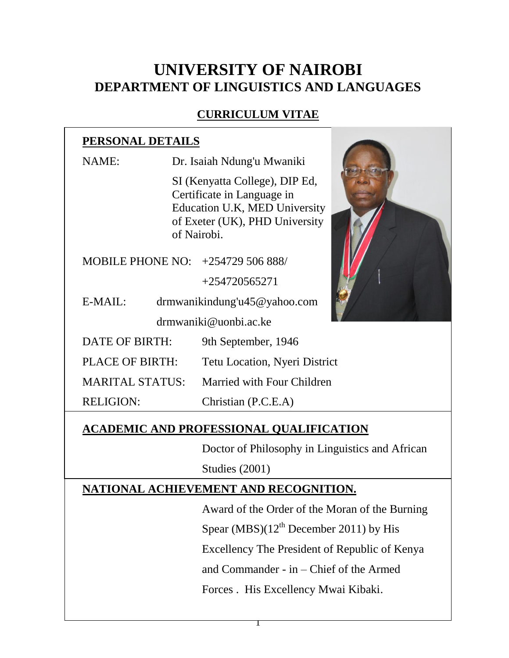# **UNIVERSITY OF NAIROBI DEPARTMENT OF LINGUISTICS AND LANGUAGES**

# **CURRICULUM VITAE**

# **PERSONAL DETAILS**

NAME: Dr. Isaiah Ndung'u Mwaniki SI (Kenyatta College), DIP Ed, Certificate in Language in Education U.K, MED University of Exeter (UK), PHD University of Nairobi. MOBILE PHONE NO: +254729 506 888/ +254720565271 E-MAIL: drmwanikindung'u45@yahoo.com drmwaniki@uonbi.ac.ke DATE OF BIRTH: 9th September, 1946 PLACE OF BIRTH: Tetu Location, Nyeri District MARITAL STATUS: Married with Four Children RELIGION: Christian (P.C.E.A)

# **ACADEMIC AND PROFESSIONAL QUALIFICATION**

Doctor of Philosophy in Linguistics and African Studies (2001)

# **NATIONAL ACHIEVEMENT AND RECOGNITION.**

Award of the Order of the Moran of the Burning Spear (MBS) $(12<sup>th</sup>$  December 2011) by His

Excellency The President of Republic of Kenya

and Commander - in – Chief of the Armed

Forces . His Excellency Mwai Kibaki.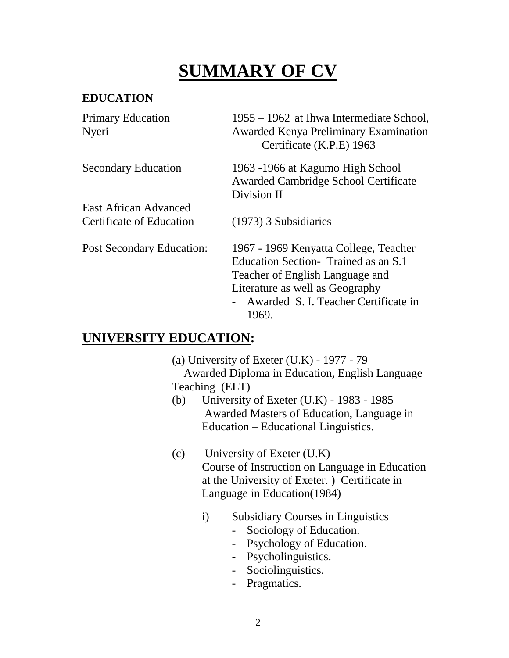# **SUMMARY OF CV**

# **EDUCATION**

| <b>Primary Education</b>   | 1955 – 1962 at Ihwa Intermediate School,                                 |
|----------------------------|--------------------------------------------------------------------------|
| Nyeri                      | <b>Awarded Kenya Preliminary Examination</b><br>Certificate (K.P.E) 1963 |
| <b>Secondary Education</b> | 1963 -1966 at Kagumo High School                                         |

East African Advanced

Awarded Cambridge School Certificate Division II

Certificate of Education (1973) 3 Subsidiaries

Post Secondary Education: 1967 - 1969 Kenyatta College, Teacher Education Section- Trained as an S.1 Teacher of English Language and Literature as well as Geography

- Awarded S. I. Teacher Certificate in 1969.

# **UNIVERSITY EDUCATION:**

- (a) University of Exeter (U.K) 1977 79 Awarded Diploma in Education, English Language Teaching (ELT)
- (b) University of Exeter (U.K) 1983 1985 Awarded Masters of Education, Language in Education – Educational Linguistics.
- (c) University of Exeter (U.K) Course of Instruction on Language in Education at the University of Exeter. ) Certificate in Language in Education(1984)
	- i) Subsidiary Courses in Linguistics
		- Sociology of Education.
		- Psychology of Education.
		- Psycholinguistics.
		- Sociolinguistics.
		- Pragmatics.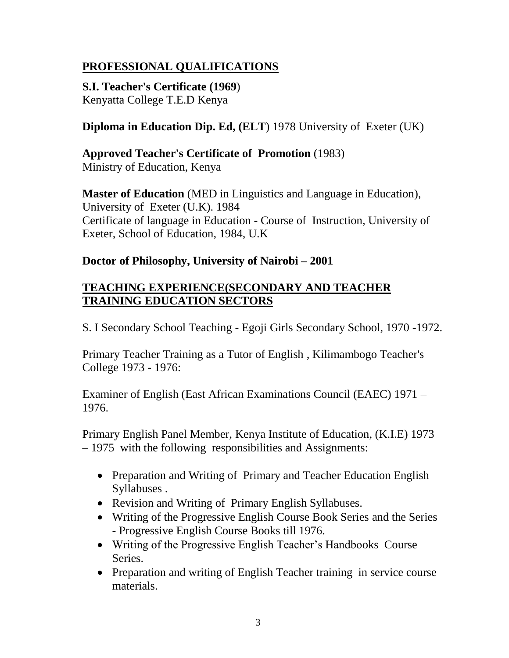# **PROFESSIONAL QUALIFICATIONS**

**S.I. Teacher's Certificate (1969**) Kenyatta College T.E.D Kenya

# **Diploma in Education Dip. Ed, (ELT**) 1978 University of Exeter (UK)

**Approved Teacher's Certificate of Promotion** (1983) Ministry of Education, Kenya

**Master of Education** (MED in Linguistics and Language in Education), University of Exeter (U.K). 1984 Certificate of language in Education - Course of Instruction, University of Exeter, School of Education, 1984, U.K

#### **Doctor of Philosophy, University of Nairobi – 2001**

#### **TEACHING EXPERIENCE(SECONDARY AND TEACHER TRAINING EDUCATION SECTORS**

S. I Secondary School Teaching - Egoji Girls Secondary School, 1970 -1972.

Primary Teacher Training as a Tutor of English , Kilimambogo Teacher's College 1973 - 1976:

Examiner of English (East African Examinations Council (EAEC) 1971 – 1976.

Primary English Panel Member, Kenya Institute of Education, (K.I.E) 1973 – 1975 with the following responsibilities and Assignments:

- Preparation and Writing of Primary and Teacher Education English Syllabuses .
- Revision and Writing of Primary English Syllabuses.
- Writing of the Progressive English Course Book Series and the Series - Progressive English Course Books till 1976.
- Writing of the Progressive English Teacher's Handbooks Course Series.
- Preparation and writing of English Teacher training in service course materials.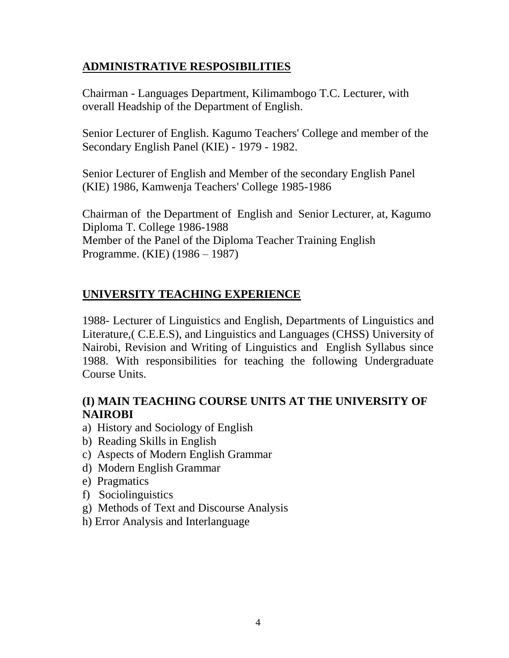## **ADMINISTRATIVE RESPOSIBILITIES**

Chairman - Languages Department, Kilimambogo T.C. Lecturer, with overall Headship of the Department of English.

Senior Lecturer of English. Kagumo Teachers' College and member of the Secondary English Panel (KIE) - 1979 - 1982.

Senior Lecturer of English and Member of the secondary English Panel (KIE) 1986, Kamwenja Teachers' College 1985-1986

Chairman of the Department of English and Senior Lecturer, at, Kagumo Diploma T. College 1986-1988 Member of the Panel of the Diploma Teacher Training English Programme. (KIE) (1986 – 1987)

## **UNIVERSITY TEACHING EXPERIENCE**

1988- Lecturer of Linguistics and English, Departments of Linguistics and Literature,( C.E.E.S), and Linguistics and Languages (CHSS) University of Nairobi, Revision and Writing of Linguistics and English Syllabus since 1988. With responsibilities for teaching the following Undergraduate Course Units.

## **(I) MAIN TEACHING COURSE UNITS AT THE UNIVERSITY OF NAIROBI**

- a) History and Sociology of English
- b) Reading Skills in English
- c) Aspects of Modern English Grammar
- d) Modern English Grammar
- e) Pragmatics
- f) Sociolinguistics
- g) Methods of Text and Discourse Analysis
- h) Error Analysis and Interlanguage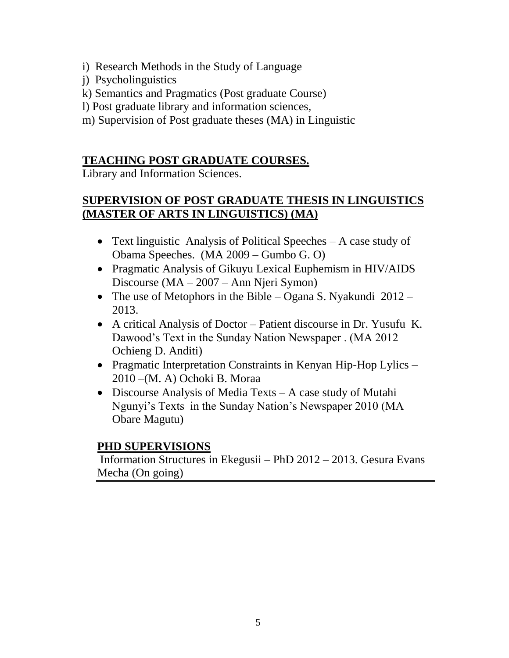- i) Research Methods in the Study of Language
- j) Psycholinguistics
- k) Semantics and Pragmatics (Post graduate Course)
- l) Post graduate library and information sciences,
- m) Supervision of Post graduate theses (MA) in Linguistic

# **TEACHING POST GRADUATE COURSES.**

Library and Information Sciences.

# **SUPERVISION OF POST GRADUATE THESIS IN LINGUISTICS (MASTER OF ARTS IN LINGUISTICS) (MA)**

- Text linguistic Analysis of Political Speeches A case study of Obama Speeches. (MA 2009 – Gumbo G. O)
- Pragmatic Analysis of Gikuyu Lexical Euphemism in HIV/AIDS Discourse (MA – 2007 – Ann Njeri Symon)
- The use of Metophors in the Bible Ogana S. Nyakundi 2012 2013.
- A critical Analysis of Doctor Patient discourse in Dr. Yusufu K. Dawood's Text in the Sunday Nation Newspaper . (MA 2012 Ochieng D. Anditi)
- Pragmatic Interpretation Constraints in Kenyan Hip-Hop Lylics 2010 –(M. A) Ochoki B. Moraa
- Discourse Analysis of Media Texts A case study of Mutahi Ngunyi's Texts in the Sunday Nation's Newspaper 2010 (MA Obare Magutu)

#### **PHD SUPERVISIONS**

Information Structures in Ekegusii – PhD 2012 – 2013. Gesura Evans Mecha (On going)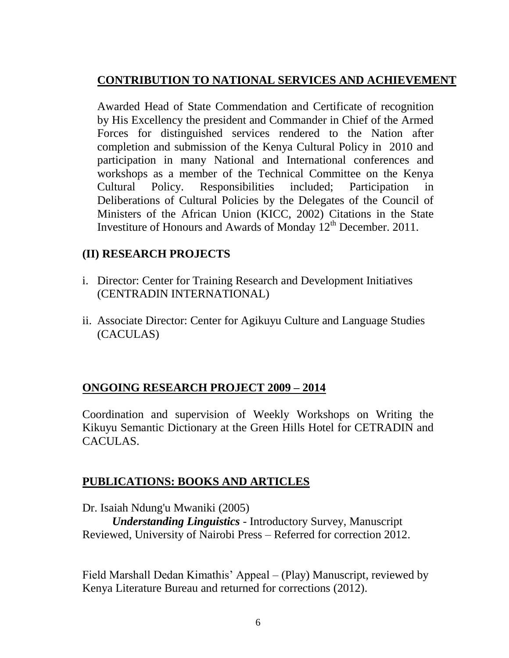# **CONTRIBUTION TO NATIONAL SERVICES AND ACHIEVEMENT**

Awarded Head of State Commendation and Certificate of recognition by His Excellency the president and Commander in Chief of the Armed Forces for distinguished services rendered to the Nation after completion and submission of the Kenya Cultural Policy in 2010 and participation in many National and International conferences and workshops as a member of the Technical Committee on the Kenya Cultural Policy. Responsibilities included; Participation in Deliberations of Cultural Policies by the Delegates of the Council of Ministers of the African Union (KICC, 2002) Citations in the State Investiture of Honours and Awards of Monday  $12<sup>th</sup>$  December. 2011.

#### **(II) RESEARCH PROJECTS**

- i. Director: Center for Training Research and Development Initiatives (CENTRADIN INTERNATIONAL)
- ii. Associate Director: Center for Agikuyu Culture and Language Studies (CACULAS)

#### **ONGOING RESEARCH PROJECT 2009 – 2014**

Coordination and supervision of Weekly Workshops on Writing the Kikuyu Semantic Dictionary at the Green Hills Hotel for CETRADIN and CACULAS.

#### **PUBLICATIONS: BOOKS AND ARTICLES**

Dr. Isaiah Ndung'u Mwaniki (2005)

*Understanding Linguistics* - Introductory Survey, Manuscript Reviewed, University of Nairobi Press – Referred for correction 2012.

Field Marshall Dedan Kimathis' Appeal – (Play) Manuscript, reviewed by Kenya Literature Bureau and returned for corrections (2012).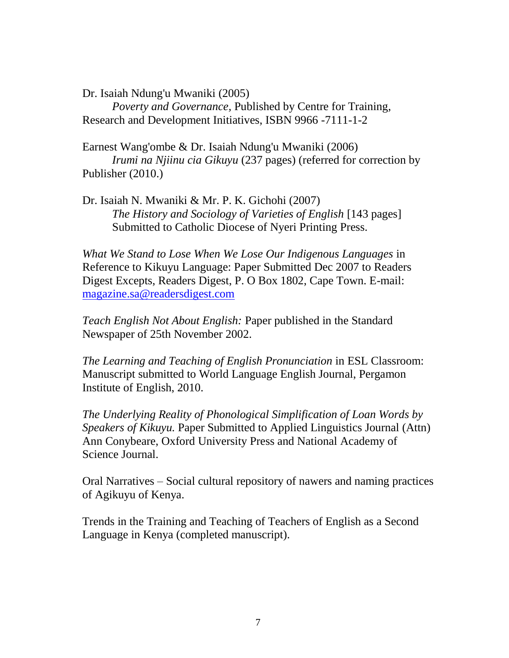Dr. Isaiah Ndung'u Mwaniki (2005)

*Poverty and Governance,* Published by Centre for Training, Research and Development Initiatives, ISBN 9966 -7111-1-2

Earnest Wang'ombe & Dr. Isaiah Ndung'u Mwaniki (2006) *Irumi na Njiinu cia Gikuyu* (237 pages) (referred for correction by Publisher (2010.)

Dr. Isaiah N. Mwaniki & Mr. P. K. Gichohi (2007) *The History and Sociology of Varieties of English* [143 pages] Submitted to Catholic Diocese of Nyeri Printing Press.

*What We Stand to Lose When We Lose Our Indigenous Languages* in Reference to Kikuyu Language: Paper Submitted Dec 2007 to Readers Digest Excepts, Readers Digest, P. O Box 1802, Cape Town. E-mail: [magazine.sa@readersdigest.com](mailto:magazine.sa@readersdigest.com)

*Teach English Not About English:* Paper published in the Standard Newspaper of 25th November 2002.

*The Learning and Teaching of English Pronunciation* in ESL Classroom: Manuscript submitted to World Language English Journal, Pergamon Institute of English, 2010.

*The Underlying Reality of Phonological Simplification of Loan Words by Speakers of Kikuyu.* Paper Submitted to Applied Linguistics Journal (Attn) Ann Conybeare, Oxford University Press and National Academy of Science Journal.

Oral Narratives – Social cultural repository of nawers and naming practices of Agikuyu of Kenya.

Trends in the Training and Teaching of Teachers of English as a Second Language in Kenya (completed manuscript).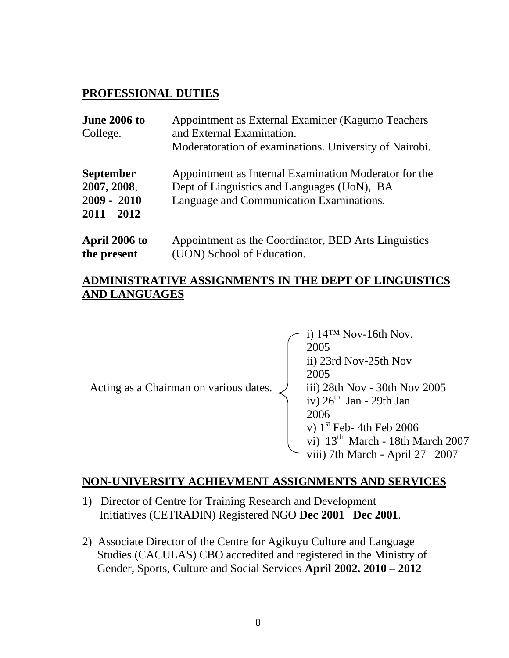#### **PROFESSIONAL DUTIES**

| <b>June 2006 to</b><br>College.                                   | Appointment as External Examiner (Kagumo Teachers<br>and External Examination.<br>Moderatoration of examinations. University of Nairobi.         |  |
|-------------------------------------------------------------------|--------------------------------------------------------------------------------------------------------------------------------------------------|--|
| <b>September</b><br>2007, 2008,<br>$2009 - 2010$<br>$2011 - 2012$ | Appointment as Internal Examination Moderator for the<br>Dept of Linguistics and Languages (UoN), BA<br>Language and Communication Examinations. |  |
| April 2006 to                                                     | Appointment as the Coordinator, BED Arts Linguistics                                                                                             |  |

**the present** (UON) School of Education.

#### **ADMINISTRATIVE ASSIGNMENTS IN THE DEPT OF LINGUISTICS AND LANGUAGES**

|                                        | i) $14^{TM}$ Nov-16th Nov.<br>2005           |
|----------------------------------------|----------------------------------------------|
|                                        | ii) 23rd Nov-25th Nov                        |
|                                        | 2005                                         |
| Acting as a Chairman on various dates. | iii) 28th Nov - 30th Nov 2005                |
|                                        | iv) $26th$ Jan - 29th Jan                    |
|                                        | 2006                                         |
|                                        | v) $1st$ Feb- 4th Feb 2006                   |
|                                        | vi) 13 <sup>th</sup> March - 18th March 2007 |
|                                        | viii) 7th March - April 27 2007              |

#### **NON-UNIVERSITY ACHIEVMENT ASSIGNMENTS AND SERVICES**

- 1) Director of Centre for Training Research and Development Initiatives (CETRADIN) Registered NGO **Dec 2001 Dec 2001**.
- 2) Associate Director of the Centre for Agikuyu Culture and Language Studies (CACULAS) CBO accredited and registered in the Ministry of Gender, Sports, Culture and Social Services **April 2002. 2010 – 2012**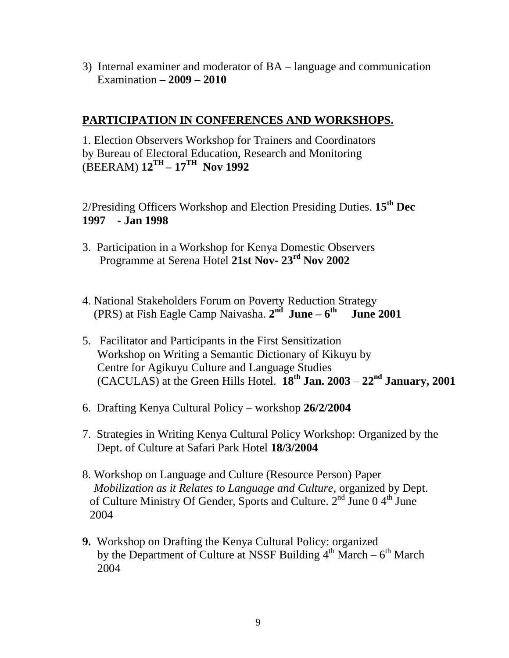3) Internal examiner and moderator of BA – language and communication Examination **– 2009 – 2010**

#### **PARTICIPATION IN CONFERENCES AND WORKSHOPS.**

1. Election Observers Workshop for Trainers and Coordinators by Bureau of Electoral Education, Research and Monitoring (BEERAM) **12TH – 17TH Nov 1992**

2/Presiding Officers Workshop and Election Presiding Duties. **15th Dec 1997 - Jan 1998**

- 3. Participation in a Workshop for Kenya Domestic Observers Programme at Serena Hotel **21st Nov- 23rd Nov 2002**
- 4. National Stakeholders Forum on Poverty Reduction Strategy (PRS) at Fish Eagle Camp Naivasha. **2 nd June – 6 th June 2001**
- 5. Facilitator and Participants in the First Sensitization Workshop on Writing a Semantic Dictionary of Kikuyu by Centre for Agikuyu Culture and Language Studies (CACULAS) at the Green Hills Hotel. **18th Jan. 2003** – **22nd January, 2001**
- 6. Drafting Kenya Cultural Policy workshop **26/2/2004**
- 7. Strategies in Writing Kenya Cultural Policy Workshop: Organized by the Dept. of Culture at Safari Park Hotel **18/3/2004**
- 8. Workshop on Language and Culture (Resource Person) Paper  *Mobilization as it Relates to Language and Culture,* organized by Dept. of Culture Ministry Of Gender, Sports and Culture.  $2<sup>nd</sup>$  June 0 4<sup>th</sup> June 2004
- **9.** Workshop on Drafting the Kenya Cultural Policy: organized by the Department of Culture at NSSF Building  $4^{th}$  March –  $6^{th}$  March 2004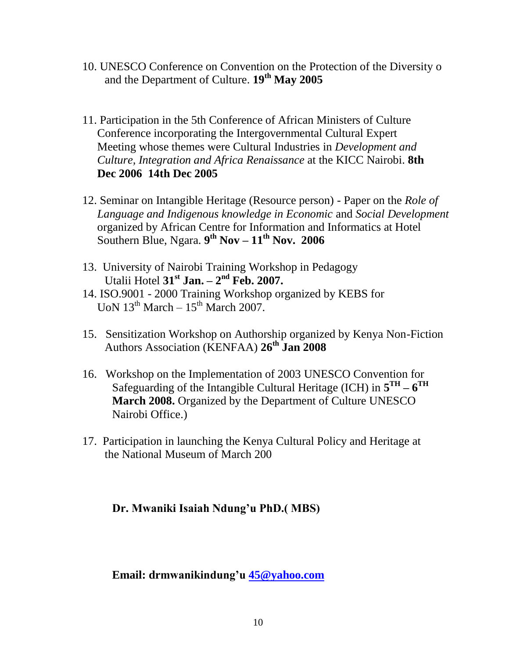- 10. UNESCO Conference on Convention on the Protection of the Diversity o and the Department of Culture. **19th May 2005**
- 11. Participation in the 5th Conference of African Ministers of Culture Conference incorporating the Intergovernmental Cultural Expert Meeting whose themes were Cultural Industries in *Development and Culture, Integration and Africa Renaissance* at the KICC Nairobi. **8th Dec 2006 14th Dec 2005**
- 12. Seminar on Intangible Heritage (Resource person) Paper on the *Role of Language and Indigenous knowledge in Economic* and *Social Development* organized by African Centre for Information and Informatics at Hotel Southern Blue, Ngara. **9 th Nov – 11th Nov. 2006**
- 13. University of Nairobi Training Workshop in Pedagogy Utalii Hotel **31st Jan. – 2 nd Feb. 2007.**
- 14. ISO.9001 2000 Training Workshop organized by KEBS for UoN  $13^{th}$  March –  $15^{th}$  March 2007.
- 15. Sensitization Workshop on Authorship organized by Kenya Non-Fiction Authors Association (KENFAA) **26th Jan 2008**
- 16. Workshop on the Implementation of 2003 UNESCO Convention for Safeguarding of the Intangible Cultural Heritage (ICH) in  $5^{TH} - 6^{TH}$ **March 2008.** Organized by the Department of Culture UNESCO Nairobi Office.)
- 17. Participation in launching the Kenya Cultural Policy and Heritage at the National Museum of March 200

#### **Dr. Mwaniki Isaiah Ndung'u PhD.( MBS)**

#### **Email: drmwanikindung'u [45@yahoo.com](mailto:45@yahoo.com)**